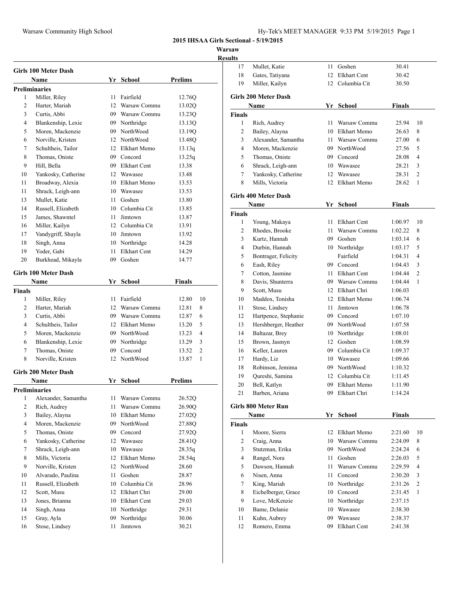**Warsaw**

|                    | Girls 100 Meter Dash            |      |                 |                |
|--------------------|---------------------------------|------|-----------------|----------------|
|                    | Name                            |      | Yr School       | <b>Prelims</b> |
|                    | <b>Preliminaries</b>            |      |                 |                |
| 1                  | Miller, Riley                   |      | 11 Fairfield    | 12.76Q         |
| 2                  | Harter, Mariah                  |      | 12 Warsaw Commu | 13.02Q         |
| 3                  | Curtis, Abbi                    |      | 09 Warsaw Commu | 13.23Q         |
| 4                  | Blankenship, Lexie              |      | 09 Northridge   | 13.13Q         |
| 5                  | Moren, Mackenzie                |      | 09 NorthWood    | 13.19O         |
| 6                  | Norville, Kristen               |      | 12 NorthWood    | 13.48Q         |
| 7                  | Schultheis, Tailor              |      | 12 Elkhart Memo | 13.13q         |
| 8                  | Thomas, Oniste                  |      | 09 Concord      | 13.25q         |
| 9                  | Hill, Bella                     |      | 09 Elkhart Cent | 13.38          |
| 10                 | Yankosky, Catherine             |      | 12 Wawasee      | 13.48          |
| 11                 | Broadway, Alexia                |      | 10 Elkhart Memo | 13.53          |
| 11                 | Shrack, Leigh-ann               |      | 10 Wawasee      | 13.53          |
| 13                 | Mullet, Katie                   |      | 11 Goshen       | 13.80          |
| 14                 | Russell, Elizabeth              |      | 10 Columbia Cit | 13.85          |
| 15                 | James, Shawntel                 |      | 11 Jimtown      | 13.87          |
| 16                 | Miller, Kailyn                  |      | 12 Columbia Cit | 13.91          |
| 17                 | Vandygriff, Shayla              |      | 10 Jimtown      | 13.92          |
| 18                 | Singh, Anna                     |      | 10 Northridge   | 14.28          |
| 19                 | Yoder, Gabi                     | 11 - | Elkhart Cent    | 14.29          |
| 20                 | Burkhead, Mikayla               |      | 09 Goshen       | 14.77          |
|                    | <b>Girls 100 Meter Dash</b>     |      |                 |                |
|                    | Name                            |      | Yr School       | Finals         |
| <b>Finals</b><br>1 |                                 |      | 11 Fairfield    | 12.80<br>10    |
| 2                  | Miller, Riley<br>Harter, Mariah |      | 12 Warsaw Commu | 12.81<br>8     |
| 3                  | Curtis, Abbi                    |      | 09 Warsaw Commu | 12.87<br>6     |
| 4                  | Schultheis, Tailor              |      | 12 Elkhart Memo | 5<br>13.20     |
| 5                  | Moren, Mackenzie                |      | 09 NorthWood    | 4<br>13.23     |
| 6                  | Blankenship, Lexie              |      | 09 Northridge   | 13.29<br>3     |
| 7                  | Thomas, Oniste                  |      | 09 Concord      | 2<br>13.52     |
| 8                  | Norville, Kristen               |      | 12 NorthWood    | 1<br>13.87     |
|                    | Girls 200 Meter Dash            |      |                 |                |
|                    | Name                            |      | Yr School       | <b>Prelims</b> |
|                    | <b>Preliminaries</b>            |      |                 |                |
| 1                  | Alexander, Samantha             | 11   | Warsaw Commu    | 26.52Q         |
| 2                  | Rich, Audrey                    | 11   | Warsaw Commu    | 26.90Q         |
| 3                  | Bailey, Alayna                  |      | 10 Elkhart Memo | 27.02Q         |
| $\overline{4}$     | Moren, Mackenzie                |      | 09 NorthWood    | 27.88Q         |
| 5                  | Thomas, Oniste                  |      | 09 Concord      | 27.92Q         |
| 6                  | Yankosky, Catherine             |      | 12 Wawasee      | 28.41Q         |
| 7                  | Shrack, Leigh-ann               |      | 10 Wawasee      | 28.35q         |
| 8                  | Mills, Victoria                 |      | 12 Elkhart Memo | 28.54q         |
| 9                  | Norville, Kristen               |      | 12 NorthWood    | 28.60          |
| 10                 | Alvarado, Paulina               | 11   | Goshen          | 28.87          |
| 11                 | Russell, Elizabeth              |      | 10 Columbia Cit | 28.96          |
| 12                 | Scott, Musu                     |      | 12 Elkhart Chri | 29.00          |
| 13                 | Jones, Brianna                  |      | 10 Elkhart Cent | 29.03          |
| 14                 | Singh, Anna                     |      | 10 Northridge   | 29.31          |
| 15                 | Gray, Ayla                      | 09   | Northridge      | 30.06          |
| 16                 | Stose, Lindsey                  | 11   | Jimtown         | 30.21          |

| <b>Results</b> |                             |      |                     |               |              |
|----------------|-----------------------------|------|---------------------|---------------|--------------|
| 17             | Mullet, Katie               |      | 11 Goshen           | 30.41         |              |
| 18             | Gates, Tatiyana             | 12   | <b>Elkhart Cent</b> | 30.42         |              |
| 19             | Miller, Kailyn              |      | 12 Columbia Cit     | 30.50         |              |
|                | <b>Girls 200 Meter Dash</b> |      |                     |               |              |
|                | Name                        |      | Yr School           | <b>Finals</b> |              |
| <b>Finals</b>  |                             |      |                     |               |              |
| 1              | Rich, Audrey                | 11   | Warsaw Commu        | 25.94         | 10           |
| 2              | Bailey, Alayna              |      | 10 Elkhart Memo     | 26.63         | 8            |
| 3              | Alexander, Samantha         | 11 - | Warsaw Commu        | 27.00         | 6            |
| 4              | Moren, Mackenzie            |      | 09 NorthWood        | 27.56         | 5            |
| 5              | Thomas, Oniste              |      | 09 Concord          | 28.08         | 4            |
| 6              | Shrack, Leigh-ann           |      | 10 Wawasee          | 28.21         | 3            |
| 7              | Yankosky, Catherine         |      | 12 Wawasee          | 28.31         | 2            |
| 8              | Mills, Victoria             |      | 12 Elkhart Memo     | 28.62         | 1            |
|                | <b>Girls 400 Meter Dash</b> |      |                     |               |              |
|                | Name                        |      | Yr School           | <b>Finals</b> |              |
| <b>Finals</b>  |                             |      |                     |               |              |
| $\mathbf{1}$   | Young, Makaya               | 11.  | <b>Elkhart Cent</b> | 1:00.97       | 10           |
| 2              | Rhodes, Brooke              | 11   | Warsaw Commu        | 1:02.22       | 8            |
| 3              | Kurtz, Hannah               |      | 09 Goshen           | 1:03.14       | 6            |
| 4              | Durbin, Hannah              |      | 10 Northridge       | 1:03.17       | 5            |
| 5              | Bontrager, Felicity         |      | Fairfield           | 1:04.31       | 4            |
| 6              | Eash, Riley                 |      | 09 Concord          | 1:04.43       | 3            |
| 7              | Cotton, Jasmine             | 11 - | <b>Elkhart Cent</b> | 1:04.44       | 2            |
| 8              | Davis, Shunterra            |      | 09 Warsaw Commu     | 1:04.44       | $\mathbf{1}$ |
| 9              | Scott, Musu                 |      | 12 Elkhart Chri     | 1:06.03       |              |
| 10             | Maddox, Tonisha             |      | 12 Elkhart Memo     | 1:06.74       |              |
| 11             | Stose, Lindsey              | 11   | Jimtown             | 1:06.78       |              |
| 12             | Hartpence, Stephanie        |      | 09 Concord          | 1:07.10       |              |
| 13             | Hershberger, Heather        |      | 09 NorthWood        | 1:07.58       |              |
| 14             | Baltazar, Brey              | 10   | Northridge          | 1:08.01       |              |
| 15             | Brown, Jasmyn               |      | 12 Goshen           | 1:08.59       |              |
|                |                             |      | Columbia Cit        |               |              |
| 16             | Keller, Lauren              | 09 - |                     | 1:09.37       |              |
| 17             | Hardy, Liz                  |      | 10 Wawasee          | 1:09.66       |              |
| 18             | Robinson, Jemima            |      | 09 NorthWood        | 1:10.32       |              |
| 19             | Qureshi, Samina             | 12   | Columbia Cit        | 1:11.45       |              |
| 20             | Bell, Katlyn                | 09   | Elkhart Memo        | 1:11.90       |              |
| 21             | Barben, Ariana              |      | 09 Elkhart Chri     | 1:14.24       |              |
|                | <b>Girls 800 Meter Run</b>  |      |                     |               |              |
|                | Name                        |      | Yr School           | <b>Finals</b> |              |
| Finals<br>1    |                             |      | 12 Elkhart Memo     |               | 10           |
| $\overline{c}$ | Moore, Sierra               |      |                     | 2:21.60       |              |
| 3              | Craig, Anna                 | 10   | Warsaw Commu        | 2:24.09       | 8            |
|                | Stutzman, Erika             |      | 09 NorthWood        | 2:24.24       | 6            |
| 4              | Rangel, Nora                | 11 - | Goshen              | 2:26.03       | 5            |
| 5              | Dawson, Hannah              | 11   | Warsaw Commu        | 2:29.59       | 4            |
| 6              | Nisen, Anna                 | 11 - | Concord             | 2:30.20       | 3            |
| 7              | King, Mariah                |      | 10 Northridge       | 2:31.26       | 2            |
|                | Eichelberger, Grace         |      | 10 Concord          | 2:31.45       | 1            |
| 8              |                             |      | 10 Northridge       | 2:37.15       |              |
| 9              | Love, McKenzie              |      |                     |               |              |
| 10             | Bame, Delanie               |      | 10 Wawasee          | 2:38.30       |              |
| 11             | Kuhn, Aubrey                |      | 09 Wawasee          | 2:38.37       |              |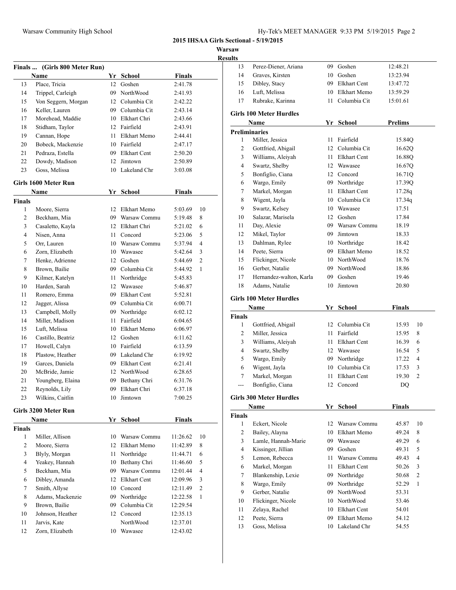**Warsaw**

 $\overline{\phantom{a}}$ 

| r<br>. .<br>ш |
|---------------|
|               |

| Finals …<br>13<br>14   | (Girls 800 Meter Run)<br>Name<br>Place, Tricia | 12 | Yr School<br>Goshen | <b>Finals</b> |                |
|------------------------|------------------------------------------------|----|---------------------|---------------|----------------|
|                        |                                                |    |                     |               |                |
|                        |                                                |    |                     | 2:41.78       |                |
|                        | Trippel, Carleigh                              | 09 | NorthWood           | 2:41.93       |                |
| 15                     | Von Seggern, Morgan                            |    | 12 Columbia Cit     | 2:42.22       |                |
| 16                     | Keller, Lauren                                 |    | 09 Columbia Cit     | 2:43.14       |                |
| 17                     | Morehead, Maddie                               |    | 10 Elkhart Chri     | 2:43.66       |                |
| 18                     | Stidham, Taylor                                | 12 | Fairfield           | 2:43.91       |                |
| 19                     | Cannan, Hope                                   | 11 | Elkhart Memo        | 2:44.41       |                |
| 20                     | Bobeck, Mackenzie                              | 10 | Fairfield           | 2:47.17       |                |
| 21                     | Pedraza, Estella                               | 09 | Elkhart Cent        | 2:50.20       |                |
| 22                     | Dowdy, Madison                                 | 12 | Jimtown             | 2:50.89       |                |
| 23                     | Goss, Melissa                                  |    | 10 Lakeland Chr     | 3:03.08       |                |
|                        | Girls 1600 Meter Run                           |    |                     |               |                |
|                        | Name                                           |    | Yr School           | <b>Finals</b> |                |
| Finals                 |                                                |    |                     |               |                |
| 1                      | Moore, Sierra                                  | 12 | Elkhart Memo        | 5:03.69       | 10             |
| $\overline{c}$         | Beckham, Mia                                   |    | 09 Warsaw Commu     | 5:19.48       | 8              |
| 3                      | Casaletto, Kayla                               |    | 12 Elkhart Chri     | 5:21.02       | 6              |
| 4                      | Nisen, Anna                                    | 11 | Concord             | 5:23.06       | 5              |
| 5                      | Orr, Lauren                                    | 10 | Warsaw Commu        | 5:37.94       | $\overline{4}$ |
| 6                      | Zorn, Elizabeth                                | 10 | Wawasee             | 5:42.64       | 3              |
| 7                      | Henke, Adrienne                                | 12 | Goshen              | 5:44.69       | 2              |
| 8                      | Brown, Bailie                                  | 09 | Columbia Cit        | 5:44.92       | 1              |
| 9                      | Kilmer, Katelyn                                | 11 | Northridge          | 5:45.83       |                |
| 10                     | Harden, Sarah                                  | 12 | Wawasee             | 5:46.87       |                |
| 11                     | Romero, Emma                                   | 09 | <b>Elkhart Cent</b> | 5:52.81       |                |
| 12                     | Jagger, Alissa                                 |    | 09 Columbia Cit     | 6:00.71       |                |
| 13                     | Campbell, Molly                                |    | 09 Northridge       | 6:02.12       |                |
| 14                     | Miller, Madison                                | 11 | Fairfield           | 6:04.65       |                |
| 15                     | Luft, Melissa                                  | 10 | Elkhart Memo        | 6:06.97       |                |
| 16                     | Castillo, Beatriz                              | 12 | Goshen              | 6:11.62       |                |
| 17                     | Howell, Calyn                                  | 10 | Fairfield           | 6:13.59       |                |
| 18                     | Plastow, Heather                               | 09 | Lakeland Chr        | 6:19.92       |                |
| 19                     | Garces, Daniela                                | 09 | Elkhart Cent        | 6:21.41       |                |
| 20                     | McBride, Jamie                                 | 12 | NorthWood           | 6:28.65       |                |
| 21                     | Youngberg, Elaina                              | 09 | Bethany Chri        | 6:31.76       |                |
| 22                     | Reynolds, Lily                                 | 09 | Elkhart Chri        | 6:37.18       |                |
| 23                     | Wilkins, Caitlin                               | 10 | Jimtown             | 7:00.25       |                |
|                        | Girls 3200 Meter Run                           |    |                     |               |                |
|                        | Name                                           |    | Yr School           | <b>Finals</b> |                |
| Finals<br>$\mathbf{1}$ | Miller, Allison                                |    | 10 Warsaw Commu     | 11:26.62      | 10             |
| $\overline{c}$         | Moore, Sierra                                  | 12 | Elkhart Memo        | 11:42.89      | 8              |
| 3                      | Blyly, Morgan                                  | 11 | Northridge          | 11:44.71      | 6              |
| $\overline{4}$         | Yeakey, Hannah                                 | 10 | Bethany Chri        | 11:46.60      | 5              |
| 5                      | Beckham, Mia                                   | 09 | Warsaw Commu        | 12:01.44      | 4              |
| 6                      | Dibley, Amanda                                 | 12 | <b>Elkhart Cent</b> |               | 3              |
| 7                      |                                                |    |                     | 12:09.96      | $\mathfrak{2}$ |
|                        | Smith, Allyse                                  | 10 | Concord             | 12:11.49      |                |
| 8                      | Adams, Mackenzie                               | 09 | Northridge          | 12:22.58      | 1              |
| 9                      | Brown, Bailie                                  | 09 | Columbia Cit        | 12:29.54      |                |
| 10                     | Johnson, Heather                               | 12 | Concord             | 12:35.13      |                |
|                        | Jarvis, Kate                                   |    | NorthWood           | 12:37.01      |                |
| 11<br>12               | Zorn, Elizabeth                                |    | 10 Wawasee          | 12:43.02      |                |

| ШЭ            |                                |      |                                      |                |                |
|---------------|--------------------------------|------|--------------------------------------|----------------|----------------|
| 13            | Perez-Diener, Ariana           | 09   | Goshen                               | 12:48.21       |                |
| 14            | Graves, Kirsten                |      | 10 Goshen                            | 13:23.94       |                |
| 15            | Dibley, Stacy                  |      | 09 Elkhart Cent                      | 13:47.72       |                |
| 16            | Luft, Melissa                  |      | 10 Elkhart Memo                      | 13:59.29       |                |
| 17            | Rubrake, Karinna               | 11 - | Columbia Cit                         | 15:01.61       |                |
|               |                                |      |                                      |                |                |
|               | <b>Girls 100 Meter Hurdles</b> |      | Yr School                            | <b>Prelims</b> |                |
|               | Name<br><b>Preliminaries</b>   |      |                                      |                |                |
| 1             | Miller, Jessica                | 11   | Fairfield                            | 15.84Q         |                |
| 2             | Gottfried, Abigail             |      | 12 Columbia Cit                      | 16.62Q         |                |
| 3             | Williams, Aleiyah              | 11 - | Elkhart Cent                         | 16.88Q         |                |
| 4             | Swartz, Shelby                 |      | 12 Wawasee                           | 16.67Q         |                |
| 5             |                                |      | 12 Concord                           |                |                |
|               | Bonfiglio, Ciana               |      |                                      | 16.71Q         |                |
| 6<br>7        | Wargo, Emily                   | 11 - | 09 Northridge<br><b>Elkhart Cent</b> | 17.39Q         |                |
|               | Markel, Morgan                 |      |                                      | 17.28q         |                |
| 8             | Wigent, Jayla                  |      | 10 Columbia Cit                      | 17.34q         |                |
| 9             | Swartz, Kelsey                 |      | 10 Wawasee                           | 17.51          |                |
| 10            | Salazar, Marisela              |      | 12 Goshen                            | 17.84          |                |
| 11            | Day, Alexie                    |      | 09 Warsaw Commu                      | 18.19          |                |
| 12            | Mikel, Taylor                  |      | 09 Jimtown                           | 18.33          |                |
| 13            | Dahlman, Rylee                 |      | 10 Northridge                        | 18.42          |                |
| 14            | Peete, Sierra                  |      | 09 Elkhart Memo                      | 18.52          |                |
| 15            | Flickinger, Nicole             |      | 10 NorthWood                         | 18.76          |                |
| 16            | Gerber, Natalie                |      | 09 NorthWood                         | 18.86          |                |
| 17            | Hernandez-walton, Karla        |      | 09 Goshen                            | 19.46          |                |
| 18            | Adams, Natalie                 | 10   | Jimtown                              | 20.80          |                |
|               | <b>Girls 100 Meter Hurdles</b> |      |                                      |                |                |
|               | Name                           |      | Yr School                            | <b>Finals</b>  |                |
| <b>Finals</b> |                                |      |                                      |                |                |
| $\mathbf{1}$  | Gottfried, Abigail             | 12   | Columbia Cit                         | 15.93          | 10             |
| 2             | Miller, Jessica                | 11 - | Fairfield                            | 15.95          | 8              |
| 3             | Williams, Aleiyah              | 11   | Elkhart Cent                         | 16.39          | 6              |
| 4             | Swartz, Shelby                 |      | 12 Wawasee                           | 16.54          | 5              |
| 5             | Wargo, Emily                   |      | 09 Northridge                        | 17.22          | 4              |
| 6             | Wigent, Jayla                  |      | 10 Columbia Cit                      | 17.53          | 3              |
| 7             | Markel, Morgan                 | 11   | Elkhart Cent                         | 19.30          | $\overline{c}$ |
| ---           | Bonfiglio, Ciana               | 12   | Concord                              | DQ             |                |
|               | <b>Girls 300 Meter Hurdles</b> |      |                                      |                |                |
|               | Name                           | Yr   | School                               | <b>Finals</b>  |                |
| <b>Finals</b> |                                |      |                                      |                |                |
| $\mathbf{1}$  | Eckert, Nicole                 | 12   | Warsaw Commu                         | 45.87          | 10             |
| 2             | Bailey, Alayna                 | 10   | Elkhart Memo                         | 49.24          | 8              |
| 3             | Lamle, Hannah-Marie            | 09   | Wawasee                              | 49.29          | 6              |
| 4             | Kissinger, Jillian             | 09   | Goshen                               | 49.31          | 5              |
| 5             | Lemon, Rebecca                 | 11   | Warsaw Commu                         | 49.43          | 4              |
| 6             | Markel, Morgan                 | 11   | <b>Elkhart Cent</b>                  | 50.26          | 3              |
| 7             | Blankenship, Lexie             | 09   | Northridge                           | 50.68          | 2              |
| 8             | Wargo, Emily                   | 09   | Northridge                           | 52.29          | 1              |
| 9             | Gerber, Natalie                |      | 09 NorthWood                         | 53.31          |                |
| 10            | Flickinger, Nicole             |      | 10 NorthWood                         | 53.46          |                |
| 11            | Zelaya, Rachel                 | 10   | Elkhart Cent                         | 54.01          |                |
|               |                                |      |                                      |                |                |

 Peete, Sierra 09 Elkhart Memo 54.12 Goss, Melissa 10 Lakeland Chr 54.55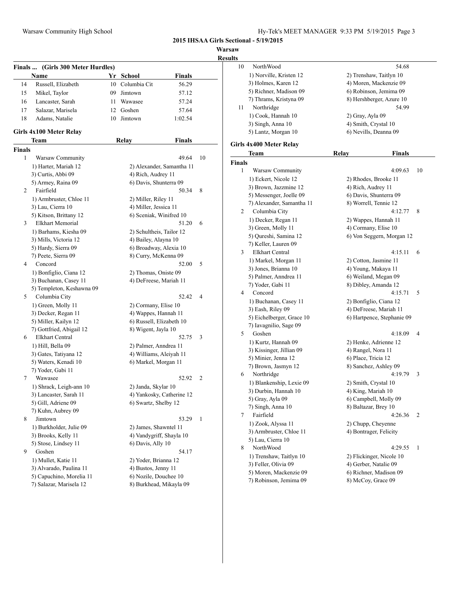**Warsaw Results**<br>**Results**<br>10

| <b>Finals</b> | (Girls 300 Meter Hurdles)<br>Name                   |      | Yr School                                    | <b>Finals</b> |    |
|---------------|-----------------------------------------------------|------|----------------------------------------------|---------------|----|
| 14            | Russell, Elizabeth                                  | 10   | Columbia Cit                                 | 56.29         |    |
| 15            | Mikel, Taylor                                       | 09   | Jimtown                                      | 57.12         |    |
| 16            | Lancaster, Sarah                                    | 11 - | Wawasee                                      | 57.24         |    |
| 17            | Salazar, Marisela                                   |      | 12 Goshen                                    | 57.64         |    |
| 18            | Adams, Natalie                                      | 10   | Jimtown                                      | 1:02.54       |    |
|               | Girls 4x100 Meter Relay                             |      |                                              |               |    |
|               | Team                                                |      | <b>Relay</b>                                 | <b>Finals</b> |    |
| <b>Finals</b> |                                                     |      |                                              |               |    |
| 1             | Warsaw Community                                    |      |                                              | 49.64         | 10 |
|               | 1) Harter, Mariah 12                                |      | 2) Alexander, Samantha 11                    |               |    |
|               | 3) Curtis, Abbi 09                                  |      | 4) Rich, Audrey 11                           |               |    |
|               | 5) Armey, Raina 09                                  |      | 6) Davis, Shunterra 09                       |               |    |
| 2             | Fairfield                                           |      |                                              | 50.34         | 8  |
|               | 1) Armbruster, Chloe 11                             |      | 2) Miller, Riley 11                          |               |    |
|               | 3) Lau, Cierra 10                                   |      | 4) Miller, Jessica 11                        |               |    |
|               | 5) Kitson, Brittany 12                              |      | 6) Sceniak, Winifred 10                      |               |    |
| 3             | <b>Elkhart Memorial</b>                             |      |                                              | 51.20         | 6  |
|               | 1) Barhams, Kiesha 09                               |      | 2) Schultheis, Tailor 12                     |               |    |
|               | 3) Mills, Victoria 12                               |      | 4) Bailey, Alayna 10                         |               |    |
|               | 5) Hardy, Sierra 09                                 |      | 6) Broadway, Alexia 10                       |               |    |
|               | 7) Peete, Sierra 09                                 |      | 8) Curry, McKenna 09                         |               |    |
| 4             | Concord                                             |      |                                              | 52.00         | 5  |
|               | 1) Bonfiglio, Ciana 12                              |      | 2) Thomas, Oniste 09                         |               |    |
|               | 3) Buchanan, Casey 11                               |      | 4) DeFreese, Mariah 11                       |               |    |
|               | 5) Templeton, Keshawna 09                           |      |                                              |               |    |
| 5             | Columbia City                                       |      |                                              | 52.42         | 4  |
|               | 1) Green, Molly 11                                  |      | 2) Cormany, Elise 10                         |               |    |
|               | 3) Decker, Regan 11                                 |      | 4) Wappes, Hannah 11                         |               |    |
|               | 5) Miller, Kailyn 12                                |      | 6) Russell, Elizabeth 10                     |               |    |
|               | 7) Gottfried, Abigail 12                            |      | 8) Wigent, Jayla 10                          |               |    |
| 6             | <b>Elkhart Central</b>                              |      |                                              | 52.75         | 3  |
|               | 1) Hill, Bella 09                                   |      | 2) Palmer, Anndrea 11                        |               |    |
|               | 3) Gates, Tatiyana 12                               |      | 4) Williams, Aleiyah 11                      |               |    |
|               | 5) Waters, Kenadi 10                                |      | 6) Markel, Morgan 11                         |               |    |
|               | 7) Yoder, Gabi 11                                   |      |                                              |               |    |
| 7             | Wawasee                                             |      |                                              | 52.92         | 2  |
|               | 1) Shrack, Leigh-ann 10                             |      | 2) Janda, Skylar 10                          |               |    |
|               | 3) Lancaster, Sarah 11                              |      | 4) Yankosky, Catherine 12                    |               |    |
|               | 5) Gill, Adriene 09                                 |      | 6) Swartz, Shelby 12                         |               |    |
|               | 7) Kuhn, Aubrey 09                                  |      |                                              |               |    |
| 8             | Jimtown                                             |      |                                              | 53.29         | 1  |
|               | 1) Burkholder, Julie 09                             |      | 2) James, Shawntel 11                        |               |    |
|               | 3) Brooks, Kelly 11                                 |      | 4) Vandygriff, Shayla 10                     |               |    |
|               | 5) Stose, Lindsey 11                                |      | 6) Davis, Ally 10                            |               |    |
| 9             | Goshen                                              |      |                                              | 54.17         |    |
|               |                                                     |      |                                              |               |    |
|               | 1) Mullet, Katie 11                                 |      | 2) Yoder, Brianna 12                         |               |    |
|               | 3) Alvarado, Paulina 11<br>5) Capuchino, Morelia 11 |      | 4) Bustos, Jenny 11<br>6) Nozile, Douchee 10 |               |    |
|               |                                                     |      |                                              |               |    |

| <b>NorthWood</b>        | 54.68                                                                                                                                                                                                                                                                                                                                                                                                                                                                                                                                                                                                                                                                                                                                                                                                                                                                                                |                                                                                                                                                                                                                                                                                                                                                                                                                                                                                                                                                                                                                                                                                                                                                                                                               |
|-------------------------|------------------------------------------------------------------------------------------------------------------------------------------------------------------------------------------------------------------------------------------------------------------------------------------------------------------------------------------------------------------------------------------------------------------------------------------------------------------------------------------------------------------------------------------------------------------------------------------------------------------------------------------------------------------------------------------------------------------------------------------------------------------------------------------------------------------------------------------------------------------------------------------------------|---------------------------------------------------------------------------------------------------------------------------------------------------------------------------------------------------------------------------------------------------------------------------------------------------------------------------------------------------------------------------------------------------------------------------------------------------------------------------------------------------------------------------------------------------------------------------------------------------------------------------------------------------------------------------------------------------------------------------------------------------------------------------------------------------------------|
| 1) Norville, Kristen 12 | 2) Trenshaw, Taitlyn 10                                                                                                                                                                                                                                                                                                                                                                                                                                                                                                                                                                                                                                                                                                                                                                                                                                                                              |                                                                                                                                                                                                                                                                                                                                                                                                                                                                                                                                                                                                                                                                                                                                                                                                               |
| 3) Holmes, Karen 12     | 4) Moren, Mackenzie 09                                                                                                                                                                                                                                                                                                                                                                                                                                                                                                                                                                                                                                                                                                                                                                                                                                                                               |                                                                                                                                                                                                                                                                                                                                                                                                                                                                                                                                                                                                                                                                                                                                                                                                               |
| 5) Richner, Madison 09  | 6) Robinson, Jemima 09                                                                                                                                                                                                                                                                                                                                                                                                                                                                                                                                                                                                                                                                                                                                                                                                                                                                               |                                                                                                                                                                                                                                                                                                                                                                                                                                                                                                                                                                                                                                                                                                                                                                                                               |
| 7) Thrams, Kristyna 09  |                                                                                                                                                                                                                                                                                                                                                                                                                                                                                                                                                                                                                                                                                                                                                                                                                                                                                                      |                                                                                                                                                                                                                                                                                                                                                                                                                                                                                                                                                                                                                                                                                                                                                                                                               |
| Northridge              | 54.99                                                                                                                                                                                                                                                                                                                                                                                                                                                                                                                                                                                                                                                                                                                                                                                                                                                                                                |                                                                                                                                                                                                                                                                                                                                                                                                                                                                                                                                                                                                                                                                                                                                                                                                               |
| 1) Cook, Hannah 10      | 2) Gray, Ayla 09                                                                                                                                                                                                                                                                                                                                                                                                                                                                                                                                                                                                                                                                                                                                                                                                                                                                                     |                                                                                                                                                                                                                                                                                                                                                                                                                                                                                                                                                                                                                                                                                                                                                                                                               |
| 3) Singh, Anna 10       | 4) Smith, Crystal 10                                                                                                                                                                                                                                                                                                                                                                                                                                                                                                                                                                                                                                                                                                                                                                                                                                                                                 |                                                                                                                                                                                                                                                                                                                                                                                                                                                                                                                                                                                                                                                                                                                                                                                                               |
| 5) Lantz, Morgan 10     | 6) Nevills, Deanna 09                                                                                                                                                                                                                                                                                                                                                                                                                                                                                                                                                                                                                                                                                                                                                                                                                                                                                |                                                                                                                                                                                                                                                                                                                                                                                                                                                                                                                                                                                                                                                                                                                                                                                                               |
| Girls 4x400 Meter Relay |                                                                                                                                                                                                                                                                                                                                                                                                                                                                                                                                                                                                                                                                                                                                                                                                                                                                                                      |                                                                                                                                                                                                                                                                                                                                                                                                                                                                                                                                                                                                                                                                                                                                                                                                               |
| Team                    | Finals<br>Relay                                                                                                                                                                                                                                                                                                                                                                                                                                                                                                                                                                                                                                                                                                                                                                                                                                                                                      |                                                                                                                                                                                                                                                                                                                                                                                                                                                                                                                                                                                                                                                                                                                                                                                                               |
|                         |                                                                                                                                                                                                                                                                                                                                                                                                                                                                                                                                                                                                                                                                                                                                                                                                                                                                                                      |                                                                                                                                                                                                                                                                                                                                                                                                                                                                                                                                                                                                                                                                                                                                                                                                               |
|                         |                                                                                                                                                                                                                                                                                                                                                                                                                                                                                                                                                                                                                                                                                                                                                                                                                                                                                                      | 10                                                                                                                                                                                                                                                                                                                                                                                                                                                                                                                                                                                                                                                                                                                                                                                                            |
|                         |                                                                                                                                                                                                                                                                                                                                                                                                                                                                                                                                                                                                                                                                                                                                                                                                                                                                                                      |                                                                                                                                                                                                                                                                                                                                                                                                                                                                                                                                                                                                                                                                                                                                                                                                               |
|                         |                                                                                                                                                                                                                                                                                                                                                                                                                                                                                                                                                                                                                                                                                                                                                                                                                                                                                                      |                                                                                                                                                                                                                                                                                                                                                                                                                                                                                                                                                                                                                                                                                                                                                                                                               |
|                         |                                                                                                                                                                                                                                                                                                                                                                                                                                                                                                                                                                                                                                                                                                                                                                                                                                                                                                      |                                                                                                                                                                                                                                                                                                                                                                                                                                                                                                                                                                                                                                                                                                                                                                                                               |
|                         |                                                                                                                                                                                                                                                                                                                                                                                                                                                                                                                                                                                                                                                                                                                                                                                                                                                                                                      |                                                                                                                                                                                                                                                                                                                                                                                                                                                                                                                                                                                                                                                                                                                                                                                                               |
|                         |                                                                                                                                                                                                                                                                                                                                                                                                                                                                                                                                                                                                                                                                                                                                                                                                                                                                                                      | 8                                                                                                                                                                                                                                                                                                                                                                                                                                                                                                                                                                                                                                                                                                                                                                                                             |
|                         |                                                                                                                                                                                                                                                                                                                                                                                                                                                                                                                                                                                                                                                                                                                                                                                                                                                                                                      |                                                                                                                                                                                                                                                                                                                                                                                                                                                                                                                                                                                                                                                                                                                                                                                                               |
|                         |                                                                                                                                                                                                                                                                                                                                                                                                                                                                                                                                                                                                                                                                                                                                                                                                                                                                                                      |                                                                                                                                                                                                                                                                                                                                                                                                                                                                                                                                                                                                                                                                                                                                                                                                               |
|                         |                                                                                                                                                                                                                                                                                                                                                                                                                                                                                                                                                                                                                                                                                                                                                                                                                                                                                                      |                                                                                                                                                                                                                                                                                                                                                                                                                                                                                                                                                                                                                                                                                                                                                                                                               |
|                         |                                                                                                                                                                                                                                                                                                                                                                                                                                                                                                                                                                                                                                                                                                                                                                                                                                                                                                      |                                                                                                                                                                                                                                                                                                                                                                                                                                                                                                                                                                                                                                                                                                                                                                                                               |
|                         |                                                                                                                                                                                                                                                                                                                                                                                                                                                                                                                                                                                                                                                                                                                                                                                                                                                                                                      | 6                                                                                                                                                                                                                                                                                                                                                                                                                                                                                                                                                                                                                                                                                                                                                                                                             |
|                         |                                                                                                                                                                                                                                                                                                                                                                                                                                                                                                                                                                                                                                                                                                                                                                                                                                                                                                      |                                                                                                                                                                                                                                                                                                                                                                                                                                                                                                                                                                                                                                                                                                                                                                                                               |
|                         |                                                                                                                                                                                                                                                                                                                                                                                                                                                                                                                                                                                                                                                                                                                                                                                                                                                                                                      |                                                                                                                                                                                                                                                                                                                                                                                                                                                                                                                                                                                                                                                                                                                                                                                                               |
|                         |                                                                                                                                                                                                                                                                                                                                                                                                                                                                                                                                                                                                                                                                                                                                                                                                                                                                                                      |                                                                                                                                                                                                                                                                                                                                                                                                                                                                                                                                                                                                                                                                                                                                                                                                               |
|                         |                                                                                                                                                                                                                                                                                                                                                                                                                                                                                                                                                                                                                                                                                                                                                                                                                                                                                                      | 5                                                                                                                                                                                                                                                                                                                                                                                                                                                                                                                                                                                                                                                                                                                                                                                                             |
|                         |                                                                                                                                                                                                                                                                                                                                                                                                                                                                                                                                                                                                                                                                                                                                                                                                                                                                                                      |                                                                                                                                                                                                                                                                                                                                                                                                                                                                                                                                                                                                                                                                                                                                                                                                               |
|                         |                                                                                                                                                                                                                                                                                                                                                                                                                                                                                                                                                                                                                                                                                                                                                                                                                                                                                                      |                                                                                                                                                                                                                                                                                                                                                                                                                                                                                                                                                                                                                                                                                                                                                                                                               |
|                         |                                                                                                                                                                                                                                                                                                                                                                                                                                                                                                                                                                                                                                                                                                                                                                                                                                                                                                      |                                                                                                                                                                                                                                                                                                                                                                                                                                                                                                                                                                                                                                                                                                                                                                                                               |
|                         |                                                                                                                                                                                                                                                                                                                                                                                                                                                                                                                                                                                                                                                                                                                                                                                                                                                                                                      |                                                                                                                                                                                                                                                                                                                                                                                                                                                                                                                                                                                                                                                                                                                                                                                                               |
|                         |                                                                                                                                                                                                                                                                                                                                                                                                                                                                                                                                                                                                                                                                                                                                                                                                                                                                                                      | 4                                                                                                                                                                                                                                                                                                                                                                                                                                                                                                                                                                                                                                                                                                                                                                                                             |
|                         |                                                                                                                                                                                                                                                                                                                                                                                                                                                                                                                                                                                                                                                                                                                                                                                                                                                                                                      |                                                                                                                                                                                                                                                                                                                                                                                                                                                                                                                                                                                                                                                                                                                                                                                                               |
|                         |                                                                                                                                                                                                                                                                                                                                                                                                                                                                                                                                                                                                                                                                                                                                                                                                                                                                                                      |                                                                                                                                                                                                                                                                                                                                                                                                                                                                                                                                                                                                                                                                                                                                                                                                               |
|                         |                                                                                                                                                                                                                                                                                                                                                                                                                                                                                                                                                                                                                                                                                                                                                                                                                                                                                                      |                                                                                                                                                                                                                                                                                                                                                                                                                                                                                                                                                                                                                                                                                                                                                                                                               |
|                         |                                                                                                                                                                                                                                                                                                                                                                                                                                                                                                                                                                                                                                                                                                                                                                                                                                                                                                      |                                                                                                                                                                                                                                                                                                                                                                                                                                                                                                                                                                                                                                                                                                                                                                                                               |
|                         |                                                                                                                                                                                                                                                                                                                                                                                                                                                                                                                                                                                                                                                                                                                                                                                                                                                                                                      | 3                                                                                                                                                                                                                                                                                                                                                                                                                                                                                                                                                                                                                                                                                                                                                                                                             |
|                         |                                                                                                                                                                                                                                                                                                                                                                                                                                                                                                                                                                                                                                                                                                                                                                                                                                                                                                      |                                                                                                                                                                                                                                                                                                                                                                                                                                                                                                                                                                                                                                                                                                                                                                                                               |
|                         |                                                                                                                                                                                                                                                                                                                                                                                                                                                                                                                                                                                                                                                                                                                                                                                                                                                                                                      |                                                                                                                                                                                                                                                                                                                                                                                                                                                                                                                                                                                                                                                                                                                                                                                                               |
|                         |                                                                                                                                                                                                                                                                                                                                                                                                                                                                                                                                                                                                                                                                                                                                                                                                                                                                                                      |                                                                                                                                                                                                                                                                                                                                                                                                                                                                                                                                                                                                                                                                                                                                                                                                               |
|                         |                                                                                                                                                                                                                                                                                                                                                                                                                                                                                                                                                                                                                                                                                                                                                                                                                                                                                                      |                                                                                                                                                                                                                                                                                                                                                                                                                                                                                                                                                                                                                                                                                                                                                                                                               |
|                         |                                                                                                                                                                                                                                                                                                                                                                                                                                                                                                                                                                                                                                                                                                                                                                                                                                                                                                      | 2                                                                                                                                                                                                                                                                                                                                                                                                                                                                                                                                                                                                                                                                                                                                                                                                             |
|                         |                                                                                                                                                                                                                                                                                                                                                                                                                                                                                                                                                                                                                                                                                                                                                                                                                                                                                                      |                                                                                                                                                                                                                                                                                                                                                                                                                                                                                                                                                                                                                                                                                                                                                                                                               |
|                         |                                                                                                                                                                                                                                                                                                                                                                                                                                                                                                                                                                                                                                                                                                                                                                                                                                                                                                      |                                                                                                                                                                                                                                                                                                                                                                                                                                                                                                                                                                                                                                                                                                                                                                                                               |
|                         |                                                                                                                                                                                                                                                                                                                                                                                                                                                                                                                                                                                                                                                                                                                                                                                                                                                                                                      |                                                                                                                                                                                                                                                                                                                                                                                                                                                                                                                                                                                                                                                                                                                                                                                                               |
|                         |                                                                                                                                                                                                                                                                                                                                                                                                                                                                                                                                                                                                                                                                                                                                                                                                                                                                                                      | 1                                                                                                                                                                                                                                                                                                                                                                                                                                                                                                                                                                                                                                                                                                                                                                                                             |
|                         |                                                                                                                                                                                                                                                                                                                                                                                                                                                                                                                                                                                                                                                                                                                                                                                                                                                                                                      |                                                                                                                                                                                                                                                                                                                                                                                                                                                                                                                                                                                                                                                                                                                                                                                                               |
|                         |                                                                                                                                                                                                                                                                                                                                                                                                                                                                                                                                                                                                                                                                                                                                                                                                                                                                                                      |                                                                                                                                                                                                                                                                                                                                                                                                                                                                                                                                                                                                                                                                                                                                                                                                               |
|                         |                                                                                                                                                                                                                                                                                                                                                                                                                                                                                                                                                                                                                                                                                                                                                                                                                                                                                                      |                                                                                                                                                                                                                                                                                                                                                                                                                                                                                                                                                                                                                                                                                                                                                                                                               |
| 7) Robinson, Jemima 09  | 8) McCoy, Grace 09                                                                                                                                                                                                                                                                                                                                                                                                                                                                                                                                                                                                                                                                                                                                                                                                                                                                                   |                                                                                                                                                                                                                                                                                                                                                                                                                                                                                                                                                                                                                                                                                                                                                                                                               |
|                         | <b>Finals</b><br>Warsaw Community<br>1) Eckert, Nicole 12<br>3) Brown, Jazzmine 12<br>5) Messenger, Joelle 09<br>7) Alexander, Samantha 11<br>Columbia City<br>1) Decker, Regan 11<br>3) Green, Molly 11<br>5) Qureshi, Samina 12<br>7) Keller, Lauren 09<br><b>Elkhart Central</b><br>1) Markel, Morgan 11<br>3) Jones, Brianna 10<br>5) Palmer, Anndrea 11<br>7) Yoder, Gabi 11<br>Concord<br>1) Buchanan, Casey 11<br>3) Eash, Riley 09<br>5) Eichelberger, Grace 10<br>7) Iavagnilio, Sage 09<br>Goshen<br>1) Kurtz, Hannah 09<br>3) Kissinger, Jillian 09<br>5) Minier, Jenna 12<br>7) Brown, Jasmyn 12<br>Northridge<br>1) Blankenship, Lexie 09<br>3) Durbin, Hannah 10<br>5) Gray, Ayla 09<br>7) Singh, Anna 10<br>Fairfield<br>1) Zook, Alyssa 11<br>3) Armbruster, Chloe 11<br>5) Lau, Cierra 10<br>NorthWood<br>1) Trenshaw, Taitlyn 10<br>3) Feller, Olivia 09<br>5) Moren, Mackenzie 09 | 8) Hershberger, Azure 10<br>4:09.63<br>2) Rhodes, Brooke 11<br>4) Rich, Audrey 11<br>6) Davis, Shunterra 09<br>8) Worrell, Tennie 12<br>4:12.77<br>2) Wappes, Hannah 11<br>4) Cormany, Elise 10<br>6) Von Seggern, Morgan 12<br>4:15.11<br>2) Cotton, Jasmine 11<br>4) Young, Makaya 11<br>6) Weiland, Megan 09<br>8) Dibley, Amanda 12<br>4:15.71<br>2) Bonfiglio, Ciana 12<br>4) DeFreese, Mariah 11<br>6) Hartpence, Stephanie 09<br>4:18.09<br>2) Henke, Adrienne 12<br>4) Rangel, Nora 11<br>6) Place, Tricia 12<br>8) Sanchez, Ashley 09<br>4:19.79<br>2) Smith, Crystal 10<br>4) King, Mariah 10<br>6) Campbell, Molly 09<br>8) Baltazar, Brey 10<br>4:26.36<br>2) Chupp, Cheyenne<br>4) Bontrager, Felicity<br>4:29.55<br>2) Flickinger, Nicole 10<br>4) Gerber, Natalie 09<br>6) Richner, Madison 09 |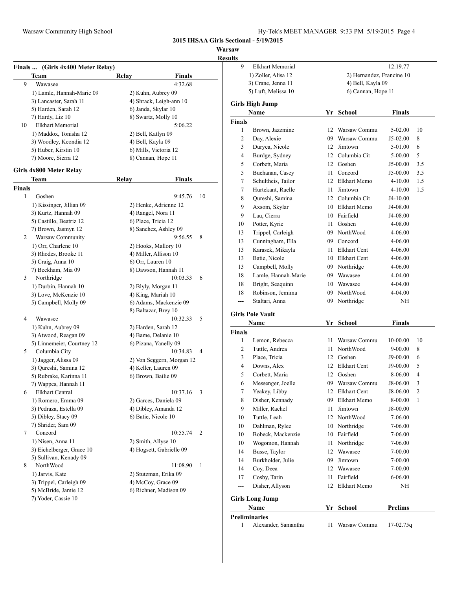**Warsaw**

|               |                                             |                                               |                | results        |                                                |    |                           |                |                |
|---------------|---------------------------------------------|-----------------------------------------------|----------------|----------------|------------------------------------------------|----|---------------------------|----------------|----------------|
|               | Finals  (Girls 4x400 Meter Relay)           |                                               |                | 9              | <b>Elkhart Memorial</b><br>1) Zoller, Alisa 12 |    | 2) Hernandez, Francine 10 | 12:19.77       |                |
| 9             | <b>Team</b>                                 | Relay<br><b>Finals</b><br>4:32.68             |                |                | 3) Crane, Jenna 11                             |    | 4) Bell, Kayla 09         |                |                |
|               | Wawasee                                     |                                               |                |                | 5) Luft, Melissa 10                            |    | 6) Cannan, Hope 11        |                |                |
|               | 1) Lamle, Hannah-Marie 09                   | 2) Kuhn, Aubrey 09<br>4) Shrack, Leigh-ann 10 |                |                |                                                |    |                           |                |                |
|               | 3) Lancaster, Sarah 11                      |                                               |                |                | <b>Girls High Jump</b>                         |    |                           |                |                |
|               | 5) Harden, Sarah 12                         | 6) Janda, Skylar 10                           |                |                | Name                                           |    | Yr School                 | Finals         |                |
| 10            | 7) Hardy, Liz 10<br><b>Elkhart Memorial</b> | 8) Swartz, Molly 10<br>5:06.22                |                | <b>Finals</b>  |                                                |    |                           |                |                |
|               | 1) Maddox, Tonisha 12                       | 2) Bell, Katlyn 09                            |                | 1              | Brown, Jazzmine                                |    | 12 Warsaw Commu           | $5 - 02.00$    | - 10           |
|               | 3) Woodley, Keondia 12                      | 4) Bell, Kayla 09                             |                | $\overline{c}$ | Day, Alexie                                    | 09 | Warsaw Commu              | J5-02.00       | 8              |
|               | 5) Huber, Kirstin 10                        | 6) Mills, Victoria 12                         |                | 3              | Duryea, Nicole                                 | 12 | Jimtown                   | 5-01.00        | 6              |
|               | 7) Moore, Sierra 12                         | 8) Cannan, Hope 11                            |                | 4              | Burdge, Sydney                                 |    | 12 Columbia Cit           | 5-00.00        | 5              |
|               |                                             |                                               |                | 5              | Corbett, Maria                                 | 12 | Goshen                    | J5-00.00       | 3.5            |
|               | Girls 4x800 Meter Relay                     |                                               |                | 5              | Buchanan, Casey                                |    | 11 Concord                | J5-00.00       | 3.5            |
|               | Team                                        | Relay<br><b>Finals</b>                        |                | $\overline{7}$ | Schultheis, Tailor                             |    | 12 Elkhart Memo           | $4 - 10.00$    | 1.5            |
| <b>Finals</b> |                                             |                                               |                | 7              | Hurtekant, Raelle                              |    | 11 Jimtown                | $4 - 10.00$    | 1.5            |
| -1            | Goshen                                      | 9:45.76                                       | 10             | 8              | Qureshi, Samina                                |    | 12 Columbia Cit           | $J4-10.00$     |                |
|               | 1) Kissinger, Jillian 09                    | 2) Henke, Adrienne 12                         |                | 9              | Axsom, Skylar                                  |    | 10 Elkhart Memo           | J4-08.00       |                |
|               | 3) Kurtz, Hannah 09                         | 4) Rangel, Nora 11                            |                | 9              | Lau, Cierra                                    |    | 10 Fairfield              | J4-08.00       |                |
|               | 5) Castillo, Beatriz 12                     | 6) Place, Tricia 12                           |                | 10             | Potter, Kyrie                                  |    | 11 Goshen                 | 4-08.00        |                |
|               | 7) Brown, Jasmyn 12                         | 8) Sanchez, Ashley 09                         |                | 13             | Trippel, Carleigh                              |    | 09 NorthWood              | 4-06.00        |                |
| 2             | Warsaw Community                            | 9:56.55                                       | 8              | 13             | Cunningham, Ella                               | 09 | Concord                   | 4-06.00        |                |
|               | 1) Orr, Charlene 10                         | 2) Hooks, Mallory 10                          |                | 13             | Karasek, Mikayla                               | 11 | <b>Elkhart Cent</b>       | 4-06.00        |                |
|               | 3) Rhodes, Brooke 11                        | 4) Miller, Allison 10                         |                | 13             | Batie, Nicole                                  | 10 | <b>Elkhart Cent</b>       | 4-06.00        |                |
|               | 5) Craig, Anna 10                           | 6) Orr, Lauren 10                             |                | 13             |                                                | 09 | Northridge                | 4-06.00        |                |
|               | 7) Beckham, Mia 09                          | 8) Dawson, Hannah 11                          |                |                | Campbell, Molly                                |    | Wawasee                   |                |                |
| 3             | Northridge                                  | 10:03.33                                      | 6              | 18             | Lamle, Hannah-Marie                            | 09 |                           | 4-04.00        |                |
|               | 1) Durbin, Hannah 10                        | 2) Blyly, Morgan 11                           |                | 18             | Bright, Seaquinn                               | 10 | Wawasee                   | 4-04.00        |                |
|               | 3) Love, McKenzie 10                        | 4) King, Mariah 10                            |                | 18             | Robinson, Jemima                               | 09 | NorthWood                 | 4-04.00        |                |
|               | 5) Campbell, Molly 09                       | 6) Adams, Mackenzie 09                        |                | ---            | Staltari, Anna                                 |    | 09 Northridge             | NH             |                |
|               |                                             | 8) Baltazar, Brey 10                          |                |                | <b>Girls Pole Vault</b>                        |    |                           |                |                |
| 4             | Wawasee                                     | 10:32.33                                      | 5              |                | Name                                           |    | Yr School                 | <b>Finals</b>  |                |
|               | 1) Kuhn, Aubrey 09                          | 2) Harden, Sarah 12                           |                | Finals         |                                                |    |                           |                |                |
|               | 3) Atwood, Reagan 09                        | 4) Bame, Delanie 10                           |                | 1              | Lemon, Rebecca                                 |    | 11 Warsaw Commu           | 10-00.00       | -10            |
|               | 5) Linnemeier, Courtney 12                  | 6) Pizana, Yanelly 09                         |                | $\mathbf{2}$   | Tuttle, Andrea                                 |    | 11 NorthWood              | $9 - 00.00$    | 8              |
| 5             | Columbia City                               | 10:34.83                                      | $\overline{4}$ | 3              | Place, Tricia                                  |    | 12 Goshen                 | J9-00.00       | -6             |
|               | 1) Jagger, Alissa 09                        | 2) Von Seggern, Morgan 12                     |                | 4              | Downs, Alex                                    |    | 12 Elkhart Cent           | J9-00.00       | -5             |
|               | 3) Qureshi, Samina 12                       | 4) Keller, Lauren 09                          |                | 5              | Corbett, Maria                                 |    | 12 Goshen                 | 8-06.00        | $\overline{4}$ |
|               | 5) Rubrake, Karinna 11                      | 6) Brown, Bailie 09                           |                | 6              | Messenger, Joelle                              |    | 09 Warsaw Commu           | J8-06.00       | 3              |
|               | 7) Wappes, Hannah 11<br>Elkhart Central     | 10:37.16 3                                    |                | 7              | Yeakey, Libby                                  |    | 12 Elkhart Cent           | J8-06.00       | $\overline{2}$ |
| 6             |                                             |                                               |                |                | Disher, Kennady                                |    | 09 Elkhart Memo           | 8-00.00        |                |
|               | 1) Romero, Emma 09                          | 2) Garces, Daniela 09                         |                | 8              |                                                |    |                           |                | - 1            |
|               | 3) Pedraza, Estella 09                      | 4) Dibley, Amanda 12<br>6) Batie, Nicole 10   |                | 9              | Miller, Rachel                                 |    | 11 Jimtown                | J8-00.00       |                |
|               | 5) Dibley, Stacy 09<br>7) Shrider, Sam 09   |                                               |                | 10             | Tuttle, Leah                                   |    | 12 NorthWood              | 7-06.00        |                |
| 7             | Concord                                     | 10:55.74                                      | 2              | 10             | Dahlman, Rylee                                 |    | 10 Northridge             | 7-06.00        |                |
|               | 1) Nisen, Anna 11                           | 2) Smith, Allyse 10                           |                | 10             | Bobeck, Mackenzie                              |    | 10 Fairfield              | 7-06.00        |                |
|               | 3) Eichelberger, Grace 10                   | 4) Hogsett, Gabrielle 09                      |                | 10             | Wogomon, Hannah                                |    | 11 Northridge             | 7-06.00        |                |
|               | 5) Sullivan, Kenady 09                      |                                               |                | 14             | Busse, Taylor                                  |    | 12 Wawasee                | 7-00.00        |                |
| 8             | NorthWood                                   | 11:08.90                                      | $\mathbf{1}$   | 14             | Burkholder, Julie                              |    | 09 Jimtown                | 7-00.00        |                |
|               | 1) Jarvis, Kate                             | 2) Stutzman, Erika 09                         |                | 14             | Coy, Deea                                      |    | 12 Wawasee                | 7-00.00        |                |
|               | 3) Trippel, Carleigh 09                     | 4) McCoy, Grace 09                            |                | 17             | Cosby, Tarin                                   |    | 11 Fairfield              | $6 - 06.00$    |                |
|               | 5) McBride, Jamie 12                        | 6) Richner, Madison 09                        |                | ---            | Disher, Allyson                                |    | 12 Elkhart Memo           | NH             |                |
|               | 7) Yoder, Cassie 10                         |                                               |                |                | <b>Girls Long Jump</b>                         |    |                           |                |                |
|               |                                             |                                               |                |                | Name                                           |    | Yr School                 | <b>Prelims</b> |                |
|               |                                             |                                               |                |                |                                                |    |                           |                |                |

1 Alexander, Samantha 11 Warsaw Commu 17-02.75q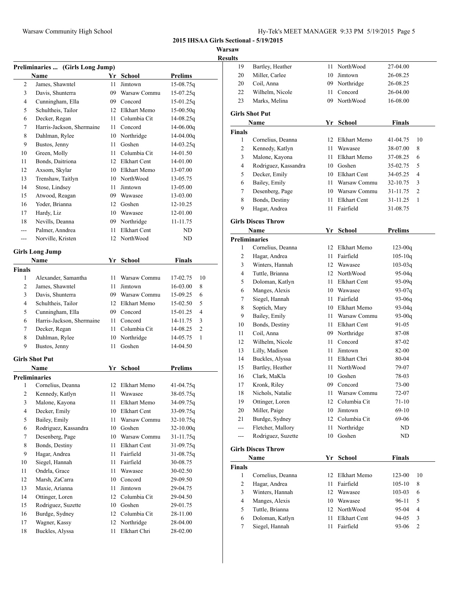**Warsaw**

|                | Warsaw Community High School     |     |                 | <b>2015 IHSAA Girls Secti</b> | Warsaw<br><b>Results</b> |
|----------------|----------------------------------|-----|-----------------|-------------------------------|--------------------------|
|                | Preliminaries  (Girls Long Jump) |     |                 |                               |                          |
|                | Name                             |     | Yr School       | <b>Prelims</b>                |                          |
| 2              | James, Shawntel                  | 11  | Jimtown         | 15-08.75q                     |                          |
| 3              | Davis, Shunterra                 |     | 09 Warsaw Commu | $15-07.25q$                   |                          |
| 4              | Cunningham, Ella                 |     | 09 Concord      | $15-01.25q$                   |                          |
| 5              | Schultheis, Tailor               |     | 12 Elkhart Memo | $15-00.50q$                   | Gi                       |
| 6              | Decker, Regan                    | 11  | Columbia Cit    | $14 - 08.25q$                 |                          |
| 7              | Harris-Jackson, Shermaine        | 11  | Concord         | $14 - 06.00q$                 | Fir                      |
| 8              | Dahlman, Rylee                   |     | 10 Northridge   | $14-04.00q$                   |                          |
| 9              | Bustos, Jenny                    | 11  | Goshen          | 14-03.25q                     |                          |
| 10             | Green, Molly                     | 11. | Columbia Cit    | 14-01.50                      |                          |
| 11             | Bonds, Daitriona                 |     | 12 Elkhart Cent | 14-01.00                      |                          |
| 12             | Axsom, Skylar                    |     | 10 Elkhart Memo | 13-07.00                      |                          |
| 13             | Trenshaw, Taitlyn                |     | 10 NorthWood    | 13-05.75                      |                          |
| 14             | Stose, Lindsey                   | 11  | Jimtown         | 13-05.00                      |                          |
| 15             | Atwood, Reagan                   |     | 09 Wawasee      | 13-03.00                      |                          |
| 16             | Yoder, Brianna                   |     | 12 Goshen       | 12-10.25                      |                          |
| 17             | Hardy, Liz                       |     | 10 Wawasee      | 12-01.00                      |                          |
| 18             | Nevills, Deanna                  |     | 09 Northridge   | 11-11.75                      | Gi                       |
| ---            | Palmer, Anndrea                  | 11  | Elkhart Cent    | ND                            |                          |
| ---            | Norville, Kristen                |     | 12 NorthWood    | ND                            | Pr                       |
|                | <b>Girls Long Jump</b>           |     |                 |                               |                          |
|                | <b>Name</b>                      |     | Yr School       | Finals                        |                          |
| <b>Finals</b>  |                                  |     |                 |                               |                          |
| 1              | Alexander, Samantha              | 11  | Warsaw Commu    | 17-02.75<br>10                |                          |
| 2              | James, Shawntel                  | 11  | Jimtown         | 16-03.00<br>8                 |                          |
| 3              | Davis, Shunterra                 |     | 09 Warsaw Commu | 15-09.25<br>6                 |                          |
| 4              | Schultheis, Tailor               |     | 12 Elkhart Memo | 5<br>15-02.50                 |                          |
| 5              | Cunningham, Ella                 |     | 09 Concord      | $\overline{4}$<br>15-01.25    |                          |
| 6              | Harris-Jackson, Shermaine        |     | 11 Concord      | 3<br>14-11.75                 |                          |
| 7              | Decker, Regan                    | 11  | Columbia Cit    | 2<br>14-08.25                 |                          |
| 8              | Dahlman, Rylee                   |     | 10 Northridge   | 14-05.75<br>1                 |                          |
| 9              | Bustos, Jenny                    | 11  | Goshen          | $14 - 04.50$                  |                          |
|                | <b>Girls Shot Put</b>            |     |                 |                               |                          |
|                | Name                             |     | Yr School       | <b>Prelims</b>                |                          |
|                | <b>Preliminaries</b>             |     |                 |                               |                          |
| 1              | Cornelius, Deanna                | 12  | Elkhart Memo    | 41-04.75g                     |                          |
| 2              | Kennedy, Katlyn                  | 11  | Wawasee         | 38-05.75q                     |                          |
| 3              | Malone, Kayona                   | 11  | Elkhart Memo    | 34-09.75q                     |                          |
| $\overline{4}$ | Decker, Emily                    | 10  | Elkhart Cent    | 33-09.75g                     |                          |
| 5              | Bailey, Emily                    | 11  | Warsaw Commu    | $32 - 10.75q$                 |                          |
| 6              | Rodriguez, Kassandra             | 10  | Goshen          | $32 - 10.00q$                 |                          |
|                | Desenberg, Page                  | 10  | Warsaw Commu    | $31 - 11.75q$                 |                          |
| 7              |                                  | 11  | Elkhart Cent    | $31-09.75q$                   | Gi                       |
| 8              | Bonds, Destiny                   |     |                 |                               |                          |
| 9              | Hagar, Andrea                    | 11  | Fairfield       | $31-08.75q$                   |                          |
| 10             | Siegel, Hannah                   | 11  | Fairfield       | 30-08.75                      |                          |
| 11             | Ondrla, Grace                    | 11  | Wawasee         | 30-02.50                      |                          |
| 12             | Marsh, ZaCarra                   | 10  | Concord         | 29-09.50                      |                          |
| 13             | Maxie, Arianna                   | 11  | Jimtown         | 29-04.75                      |                          |
| 14             | Ottinger, Loren                  | 12  | Columbia Cit    | 29-04.50                      |                          |
| 15             |                                  | 10  | Goshen          | 29-01.75                      |                          |
| 16             | Rodriguez, Suzette               |     | 12 Columbia Cit | 28-11.00                      | Fir                      |
| 17             | Burdge, Sydney<br>Wagner, Kassy  | 12  | Northridge      | 28-04.00                      |                          |

| lts                          |                                         |          |                                  |                 |                         |
|------------------------------|-----------------------------------------|----------|----------------------------------|-----------------|-------------------------|
| 19                           | Bartley, Heather                        | 11       | NorthWood                        | 27-04.00        |                         |
| 20                           | Miller, Carlee                          | 10       | Jimtown                          | 26-08.25        |                         |
| 20                           | Coil, Anna                              | 09       | Northridge                       | 26-08.25        |                         |
| 22                           | Wilhelm, Nicole                         | 11       | Concord                          | 26-04.00        |                         |
| 23                           | Marks, Melina                           | 09       | NorthWood                        | 16-08.00        |                         |
|                              | Girls Shot Put                          |          |                                  |                 |                         |
|                              | Name                                    |          | Yr School                        | <b>Finals</b>   |                         |
| Finals                       |                                         |          |                                  |                 |                         |
| 1                            | Cornelius, Deanna                       | 12       | Elkhart Memo                     | 41-04.75        | 10                      |
| 2                            | Kennedy, Katlyn                         | 11       | Wawasee                          | 38-07.00        | 8                       |
| 3                            | Malone, Kayona                          | 11       | Elkhart Memo                     | 37-08.25        | 6                       |
| 4                            | Rodriguez, Kassandra                    |          | 10 Goshen                        | 35-02.75        | 5                       |
| 5                            | Decker, Emily                           |          | 10 Elkhart Cent                  | 34-05.25        | 4                       |
| 6                            | Bailey, Emily                           | 11       | Warsaw Commu                     | 32-10.75        | 3                       |
| 7                            | Desenberg, Page                         |          | 10 Warsaw Commu                  | 31-11.75        | 2                       |
| 8                            | Bonds, Destiny                          | 11       | <b>Elkhart Cent</b>              | 31-11.25        | 1                       |
| 9                            | Hagar, Andrea                           | 11       | Fairfield                        | 31-08.75        |                         |
|                              | <b>Girls Discus Throw</b>               |          |                                  |                 |                         |
|                              | Name                                    |          | Yr School                        | <b>Prelims</b>  |                         |
|                              | Preliminaries                           |          |                                  |                 |                         |
| 1                            | Cornelius, Deanna                       | 12       | Elkhart Memo                     | $123 - 00q$     |                         |
| 2                            | Hagar, Andrea                           | 11       | Fairfield                        | $105 - 10q$     |                         |
| 3                            | Winters, Hannah                         | 12       | Wawasee                          | $103 - 03q$     |                         |
| 4                            | Tuttle, Brianna                         |          | 12 NorthWood                     | $95 - 04q$      |                         |
| 5                            | Doloman, Katlyn                         | 11       | <b>Elkhart Cent</b>              | $93-09q$        |                         |
| 6                            | Manges, Alexis                          |          | 10 Wawasee                       | $93-07q$        |                         |
| 7                            | Siegel, Hannah                          | 11       | Fairfield                        | $93 - 06q$      |                         |
| 8                            | Soptich, Mary                           |          | 10 Elkhart Memo                  | $93 - 04q$      |                         |
| 9                            | Bailey, Emily                           | 11       | Warsaw Commu                     | $93-00q$        |                         |
| 10                           | Bonds, Destiny                          | 11       | <b>Elkhart Cent</b>              | 91-05           |                         |
| $11\,$                       | Coil, Anna                              | 09       | Northridge                       | 87-08           |                         |
| 12                           | Wilhelm, Nicole                         | 11       | Concord                          | 87-02           |                         |
| 13                           | Lilly, Madison                          | 11       | Jimtown                          | 82-00           |                         |
| 14                           | Buckles, Alyssa                         | 11       | Elkhart Chri                     | 80-04           |                         |
| 15                           | Bartley, Heather                        | 11       | NorthWood                        | 79-07           |                         |
| 16                           | Clark, MaKla                            | 10       | Goshen                           | 78-03           |                         |
| 17                           | Kronk, Riley                            | 09       | Concord                          | 73-00           |                         |
| 18                           | Nichols, Natalie                        | 11       | Warsaw Commu                     | 72-07           |                         |
| 19                           | Ottinger, Loren                         | 12       | Columbia Cit                     | $71 - 10$       |                         |
| 20                           | Miller, Paige                           | 10       | Jimtown                          | $69-10$         |                         |
| 21                           | Burdge, Sydney                          |          | 12 Columbia Cit                  | 69-06           |                         |
| ---<br>---                   | Fletcher, Mallory<br>Rodriguez, Suzette | 11<br>10 | Northridge<br>Goshen             | ND<br>ND        |                         |
|                              |                                         |          |                                  |                 |                         |
|                              | <b>Girls Discus Throw</b>               |          |                                  |                 |                         |
|                              | Name                                    | Yr       | School                           | <b>Finals</b>   |                         |
| Finals                       | Cornelius, Deanna                       | 12       | Elkhart Memo                     |                 | 10                      |
| 1<br>$\sqrt{2}$              | Hagar, Andrea                           | 11       | Fairfield                        | 123-00          |                         |
|                              |                                         | 12       |                                  | 105-10          | 8                       |
| 3<br>$\overline{\mathbf{4}}$ | Winters, Hannah<br>Manges, Alexis       | 10       | Wawasee                          | 103-03<br>96-11 | 6<br>5                  |
|                              | Tuttle, Brianna                         |          | Wawasee                          |                 |                         |
|                              |                                         |          | 12 NorthWood                     | 95-04           | $\overline{\mathbf{4}}$ |
| 5                            |                                         |          |                                  |                 |                         |
| $\boldsymbol{6}$<br>7        | Doloman, Katlyn<br>Siegel, Hannah       | 11<br>11 | <b>Elkhart Cent</b><br>Fairfield | 94-05<br>93-06  | 3<br>2                  |